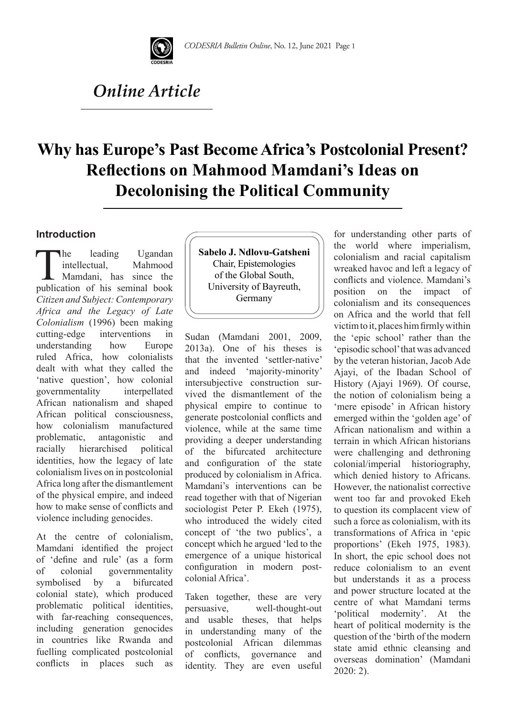

# *Online Article*

# **Why has Europe's Past Become Africa's Postcolonial Present? Reflections on Mahmood Mamdani's Ideas on Decolonising the Political Community**

### **Introduction**

The leading Ugandan<br>intellectual, Mahmood<br>Mamdani, has since the<br>publication of his seminal book intellectual, Mahmood Mamdani, has since the publication of his seminal book *Citizen and Subject: Contemporary Africa and the Legacy of Late Colonialism* (1996) been making cutting-edge interventions in understanding how Europe ruled Africa, how colonialists dealt with what they called the 'native question', how colonial governmentality interpellated African nationalism and shaped African political consciousness, how colonialism manufactured problematic, antagonistic and racially hierarchised political identities, how the legacy of late colonialism lives on in postcolonial Africa long after the dismantlement of the physical empire, and indeed how to make sense of conflicts and violence including genocides.

At the centre of colonialism, Mamdani identified the project of 'define and rule' (as a form of colonial governmentality symbolised by a bifurcated colonial state), which produced problematic political identities, with far-reaching consequences, including generation genocides in countries like Rwanda and fuelling complicated postcolonial conflicts in places such as **Sabelo J. Ndlovu-Gatsheni** Chair, Epistemologies of the Global South, University of Bayreuth, Germany

Sudan (Mamdani 2001, 2009, 2013a). One of his theses is that the invented 'settler-native' and indeed 'majority-minority' intersubjective construction survived the dismantlement of the physical empire to continue to generate postcolonial conflicts and violence, while at the same time providing a deeper understanding of the bifurcated architecture and configuration of the state produced by colonialism in Africa. Mamdani's interventions can be read together with that of Nigerian sociologist Peter P. Ekeh (1975), who introduced the widely cited concept of 'the two publics', a concept which he argued 'led to the emergence of a unique historical configuration in modern postcolonial Africa'.

Taken together, these are very persuasive, well-thought-out and usable theses, that helps in understanding many of the postcolonial African dilemmas of conflicts, governance and identity. They are even useful for understanding other parts of the world where imperialism, colonialism and racial capitalism wreaked havoc and left a legacy of conflicts and violence. Mamdani's position on the impact of colonialism and its consequences on Africa and the world that fell victim to it, places him firmly within the 'epic school' rather than the 'episodic school' that was advanced by the veteran historian, Jacob Ade Ajayi, of the Ibadan School of History (Ajayi 1969). Of course, the notion of colonialism being a 'mere episode' in African history emerged within the 'golden age' of African nationalism and within a terrain in which African historians were challenging and dethroning colonial/imperial historiography, which denied history to Africans. However, the nationalist corrective went too far and provoked Ekeh to question its complacent view of such a force as colonialism, with its transformations of Africa in 'epic proportions' (Ekeh 1975, 1983). In short, the epic school does not reduce colonialism to an event but understands it as a process and power structure located at the centre of what Mamdani terms 'political modernity'. At the heart of political modernity is the question of the 'birth of the modern state amid ethnic cleansing and overseas domination' (Mamdani 2020: 2).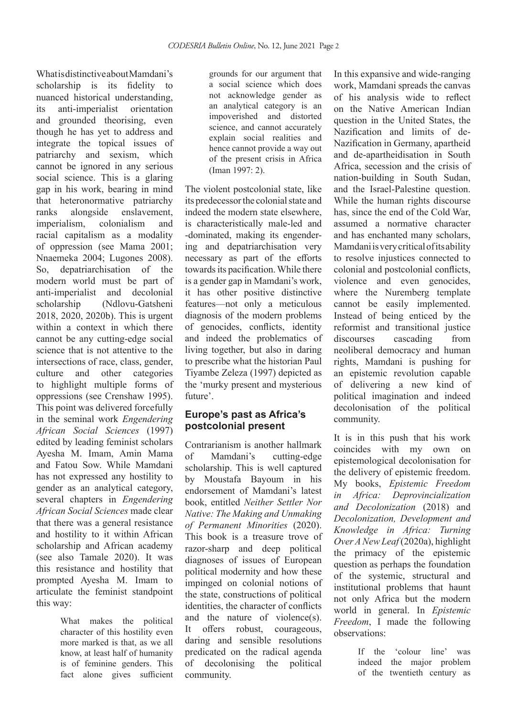What is distinctive about Mamdani's scholarship is its fidelity to nuanced historical understanding, its anti-imperialist orientation and grounded theorising, even though he has yet to address and integrate the topical issues of patriarchy and sexism, which cannot be ignored in any serious social science. This is a glaring gap in his work, bearing in mind that heteronormative patriarchy ranks alongside enslavement, imperialism, colonialism and racial capitalism as a modality of oppression (see Mama 2001; Nnaemeka 2004; Lugones 2008). So, depatriarchisation of the modern world must be part of anti-imperialist and decolonial scholarship (Ndlovu-Gatsheni 2018, 2020, 2020b). This is urgent within a context in which there cannot be any cutting-edge social science that is not attentive to the intersections of race, class, gender, culture and other categories to highlight multiple forms of oppressions (see Crenshaw 1995). This point was delivered forcefully in the seminal work *Engendering African Social Sciences* (1997) edited by leading feminist scholars Ayesha M. Imam, Amin Mama and Fatou Sow. While Mamdani has not expressed any hostility to gender as an analytical category, several chapters in *Engendering African Social Sciences* made clear that there was a general resistance and hostility to it within African scholarship and African academy (see also Tamale 2020). It was this resistance and hostility that prompted Ayesha M. Imam to articulate the feminist standpoint this way:

> What makes the political character of this hostility even more marked is that, as we all know, at least half of humanity is of feminine genders. This fact alone gives sufficient

grounds for our argument that a social science which does not acknowledge gender as an analytical category is an impoverished and distorted science, and cannot accurately explain social realities and hence cannot provide a way out of the present crisis in Africa (Iman 1997: 2).

The violent postcolonial state, like its predecessor the colonial state and indeed the modern state elsewhere, is characteristically male-led and -dominated, making its engendering and depatriarchisation very necessary as part of the efforts towards its pacification. While there is a gender gap in Mamdani's work, it has other positive distinctive features—not only a meticulous diagnosis of the modern problems of genocides, conflicts, identity and indeed the problematics of living together, but also in daring to prescribe what the historian Paul Tiyambe Zeleza (1997) depicted as the 'murky present and mysterious future'.

# **Europe's past as Africa's postcolonial present**

Contrarianism is another hallmark of Mamdani's cutting-edge scholarship. This is well captured by Moustafa Bayoum in his endorsement of Mamdani's latest book, entitled *Neither Settler Nor Native: The Making and Unmaking of Permanent Minorities* (2020). This book is a treasure trove of razor-sharp and deep political diagnoses of issues of European political modernity and how these impinged on colonial notions of the state, constructions of political identities, the character of conflicts and the nature of violence(s). It offers robust, courageous, daring and sensible resolutions predicated on the radical agenda of decolonising the political community.

In this expansive and wide-ranging work, Mamdani spreads the canvas of his analysis wide to reflect on the Native American Indian question in the United States, the Nazification and limits of de-Nazification in Germany, apartheid and de-apartheidisation in South Africa, secession and the crisis of nation-building in South Sudan, and the Israel-Palestine question. While the human rights discourse has, since the end of the Cold War, assumed a normative character and has enchanted many scholars, Mamdani is very critical of its ability to resolve injustices connected to colonial and postcolonial conflicts, violence and even genocides, where the Nuremberg template cannot be easily implemented. Instead of being enticed by the reformist and transitional justice discourses cascading from neoliberal democracy and human rights, Mamdani is pushing for an epistemic revolution capable of delivering a new kind of political imagination and indeed decolonisation of the political community.

It is in this push that his work coincides with my own on epistemological decolonisation for the delivery of epistemic freedom. My books, *Epistemic Freedom in Africa: Deprovincialization and Decolonization* (2018) and *Decolonization, Development and Knowledge in Africa: Turning Over A New Leaf* (2020a), highlight the primacy of the epistemic question as perhaps the foundation of the systemic, structural and institutional problems that haunt not only Africa but the modern world in general. In *Epistemic Freedom*, I made the following observations:

> If the 'colour line' was indeed the major problem of the twentieth century as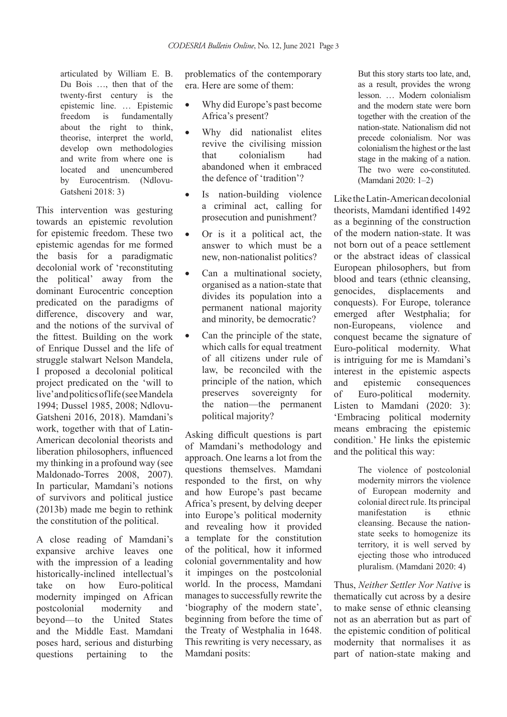articulated by William E. B. Du Bois …, then that of the twenty-first century is the epistemic line. … Epistemic freedom is fundamentally about the right to think, theorise, interpret the world, develop own methodologies and write from where one is located and unencumbered by Eurocentrism. (Ndlovu-Gatsheni 2018: 3)

This intervention was gesturing towards an epistemic revolution for epistemic freedom. These two epistemic agendas for me formed the basis for a paradigmatic decolonial work of 'reconstituting the political' away from the dominant Eurocentric conception predicated on the paradigms of difference, discovery and war, and the notions of the survival of the fittest. Building on the work of Enrique Dussel and the life of struggle stalwart Nelson Mandela, I proposed a decolonial political project predicated on the 'will to live' and politics of life (see Mandela 1994; Dussel 1985, 2008; Ndlovu-Gatsheni 2016, 2018). Mamdani's work, together with that of Latin-American decolonial theorists and liberation philosophers, influenced my thinking in a profound way (see Maldonado-Torres 2008, 2007). In particular, Mamdani's notions of survivors and political justice (2013b) made me begin to rethink the constitution of the political.

A close reading of Mamdani's expansive archive leaves one with the impression of a leading historically-inclined intellectual's take on how Euro-political modernity impinged on African postcolonial modernity and beyond—to the United States and the Middle East. Mamdani poses hard, serious and disturbing questions pertaining to the

problematics of the contemporary era. Here are some of them:

- Why did Europe's past become Africa's present?
- Why did nationalist elites revive the civilising mission that colonialism had abandoned when it embraced the defence of 'tradition'?
- Is nation-building violence a criminal act, calling for prosecution and punishment?
- • Or is it a political act, the answer to which must be a new, non-nationalist politics?
- Can a multinational society, organised as a nation-state that divides its population into a permanent national majority and minority, be democratic?
- Can the principle of the state, which calls for equal treatment of all citizens under rule of law, be reconciled with the principle of the nation, which preserves sovereignty for the nation—the permanent political majority?

Asking difficult questions is part of Mamdani's methodology and approach. One learns a lot from the questions themselves. Mamdani responded to the first, on why and how Europe's past became Africa's present, by delving deeper into Europe's political modernity and revealing how it provided a template for the constitution of the political, how it informed colonial governmentality and how it impinges on the postcolonial world. In the process, Mamdani manages to successfully rewrite the 'biography of the modern state', beginning from before the time of the Treaty of Westphalia in 1648. This rewriting is very necessary, as Mamdani posits:

But this story starts too late, and, as a result, provides the wrong lesson. … Modern colonialism and the modern state were born together with the creation of the nation-state. Nationalism did not precede colonialism. Nor was colonialism the highest or the last stage in the making of a nation. The two were co-constituted. (Mamdani 2020: 1–2)

Like the Latin-American decolonial theorists, Mamdani identified 1492 as a beginning of the construction of the modern nation-state. It was not born out of a peace settlement or the abstract ideas of classical European philosophers, but from blood and tears (ethnic cleansing, genocides, displacements and conquests). For Europe, tolerance emerged after Westphalia; for non-Europeans, violence and conquest became the signature of Euro-political modernity. What is intriguing for me is Mamdani's interest in the epistemic aspects and epistemic consequences of Euro-political modernity. Listen to Mamdani (2020: 3): 'Embracing political modernity means embracing the epistemic condition.' He links the epistemic and the political this way:

> The violence of postcolonial modernity mirrors the violence of European modernity and colonial direct rule. Its principal manifestation is ethnic cleansing. Because the nationstate seeks to homogenize its territory, it is well served by ejecting those who introduced pluralism. (Mamdani 2020: 4)

Thus, *Neither Settler Nor Native* is thematically cut across by a desire to make sense of ethnic cleansing not as an aberration but as part of the epistemic condition of political modernity that normalises it as part of nation-state making and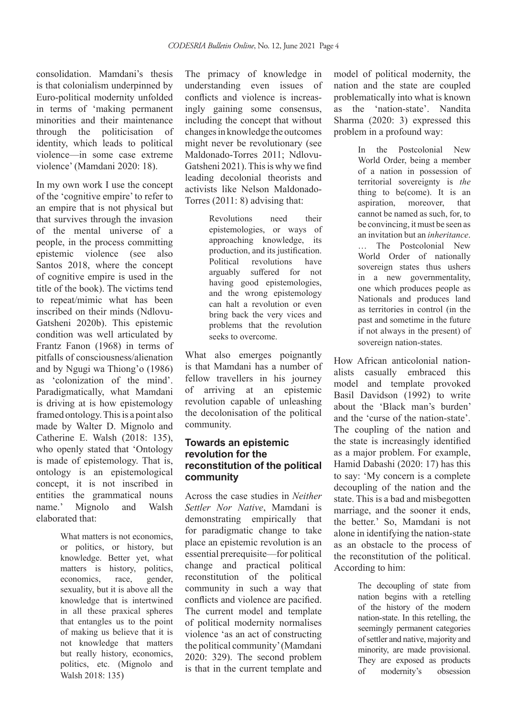consolidation. Mamdani's thesis is that colonialism underpinned by Euro-political modernity unfolded in terms of 'making permanent minorities and their maintenance through the politicisation of identity, which leads to political violence—in some case extreme violence' (Mamdani 2020: 18).

In my own work I use the concept of the 'cognitive empire' to refer to an empire that is not physical but that survives through the invasion of the mental universe of a people, in the process committing epistemic violence (see also Santos 2018, where the concept of cognitive empire is used in the title of the book). The victims tend to repeat/mimic what has been inscribed on their minds (Ndlovu-Gatsheni 2020b). This epistemic condition was well articulated by Frantz Fanon (1968) in terms of pitfalls of consciousness/alienation and by Ngugi wa Thiong'o (1986) as 'colonization of the mind'. Paradigmatically, what Mamdani is driving at is how epistemology framed ontology. This is a point also made by Walter D. Mignolo and Catherine E. Walsh (2018: 135), who openly stated that 'Ontology is made of epistemology. That is, ontology is an epistemological concept, it is not inscribed in entities the grammatical nouns name.' Mignolo and Walsh elaborated that:

> What matters is not economics, or politics, or history, but knowledge. Better yet, what matters is history, politics, economics, race, gender, sexuality, but it is above all the knowledge that is intertwined in all these praxical spheres that entangles us to the point of making us believe that it is not knowledge that matters but really history, economics, politics, etc. (Mignolo and Walsh 2018: 135)

The primacy of knowledge in understanding even issues of conflicts and violence is increasingly gaining some consensus, including the concept that without changes in knowledge the outcomes might never be revolutionary (see Maldonado-Torres 2011; Ndlovu-Gatsheni 2021). This is why we find leading decolonial theorists and activists like Nelson Maldonado-Torres (2011: 8) advising that:

> Revolutions need their epistemologies, or ways of approaching knowledge, its production, and its justification. Political revolutions have arguably suffered for not having good epistemologies, and the wrong epistemology can halt a revolution or even bring back the very vices and problems that the revolution seeks to overcome.

What also emerges poignantly is that Mamdani has a number of fellow travellers in his journey of arriving at an epistemic revolution capable of unleashing the decolonisation of the political community.

#### **Towards an epistemic revolution for the reconstitution of the political community**

Across the case studies in *Neither Settler Nor Native*, Mamdani is demonstrating empirically that for paradigmatic change to take place an epistemic revolution is an essential prerequisite—for political change and practical political reconstitution of the political community in such a way that conflicts and violence are pacified. The current model and template of political modernity normalises violence 'as an act of constructing the political community' (Mamdani 2020: 329). The second problem is that in the current template and

model of political modernity, the nation and the state are coupled problematically into what is known as the 'nation-state'. Nandita Sharma (2020: 3) expressed this problem in a profound way:

> In the Postcolonial New World Order, being a member of a nation in possession of territorial sovereignty is *the* thing to be(come). It is an aspiration, moreover, that cannot be named as such, for, to be convincing, it must be seen as an invitation but an *inheritance*. … The Postcolonial New World Order of nationally sovereign states thus ushers in a new governmentality, one which produces people as Nationals and produces land as territories in control (in the past and sometime in the future if not always in the present) of sovereign nation-states.

How African anticolonial nationalists casually embraced this model and template provoked Basil Davidson (1992) to write about the 'Black man's burden' and the 'curse of the nation-state'. The coupling of the nation and the state is increasingly identified as a major problem. For example, Hamid Dabashi (2020: 17) has this to say: 'My concern is a complete decoupling of the nation and the state. This is a bad and misbegotten marriage, and the sooner it ends, the better.' So, Mamdani is not alone in identifying the nation-state as an obstacle to the process of the reconstitution of the political. According to him:

> The decoupling of state from nation begins with a retelling of the history of the modern nation-state. In this retelling, the seemingly permanent categories of settler and native, majority and minority, are made provisional. They are exposed as products of modernity's obsession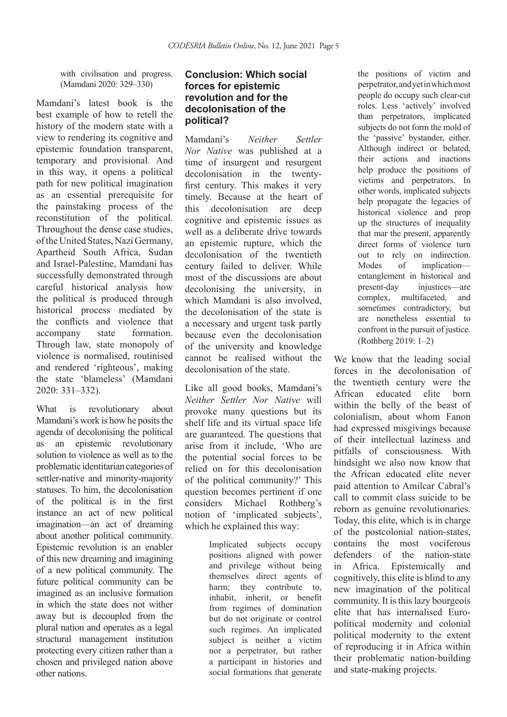with civilisation and progress. (Mamdani 2020: 329–330)

Mamdani's latest book is the best example of how to retell the history of the modern state with a view to rendering its cognitive and epistemic foundation transparent, temporary and provisional. And in this way, it opens a political path for new political imagination as an essential prerequisite for the painstaking process of the reconstitution of the political. Throughout the dense case studies, of the United States, Nazi Germany, Apartheid South Africa, Sudan and Israel-Palestine, Mamdani has successfully demonstrated through careful historical analysis how the political is produced through historical process mediated by the conflicts and violence that accompany state formation. Through law, state monopoly of violence is normalised, routinised and rendered 'righteous', making the state 'blameless' (Mamdani 2020: 331–332).

What is revolutionary about Mamdani's work is how he posits the agenda of decolonising the political as an epistemic revolutionary solution to violence as well as to the problematic identitarian categories of settler-native and minority-majority statuses. To him, the decolonisation of the political is in the first instance an act of new political imagination—an act of dreaming about another political community. Epistemic revolution is an enabler of this new dreaming and imagining of a new political community. The future political community can be imagined as an inclusive formation in which the state does not wither away but is decoupled from the plural nation and operates as a legal structural management institution protecting every citizen rather than a chosen and privileged nation above other nations.

### **Conclusion: Which social forces for epistemic revolution and for the decolonisation of the political?**

Mamdani's *Neither Settler Nor Native* was published at a time of insurgent and resurgent decolonisation in the twentyfirst century. This makes it very timely. Because at the heart of this decolonisation are deep cognitive and epistemic issues as well as a deliberate drive towards an epistemic rupture, which the decolonisation of the twentieth century failed to deliver. While most of the discussions are about decolonising the university, in which Mamdani is also involved, the decolonisation of the state is a necessary and urgent task partly because even the decolonisation of the university and knowledge cannot be realised without the decolonisation of the state.

Like all good books, Mamdani's *Neither Settler Nor Native* will provoke many questions but its shelf life and its virtual space life are guaranteed. The questions that arise from it include, 'Who are the potential social forces to be relied on for this decolonisation of the political community?' This question becomes pertinent if one considers Michael Rothberg's notion of 'implicated subjects', which he explained this way:

> Implicated subjects occupy positions aligned with power and privilege without being themselves direct agents of harm; they contribute to, inhabit, inherit, or benefit from regimes of domination but do not originate or control such regimes. An implicated subject is neither a victim nor a perpetrator, but rather a participant in histories and social formations that generate

the positions of victim and perpetrator, and yet in which most people do occupy such clear-cut roles. Less 'actively' involved than perpetrators, implicated subjects do not form the mold of the 'passive' bystander, either. Although indirect or belated, their actions and inactions help produce the positions of victims and perpetrators. In other words, implicated subjects help propagate the legacies of historical violence and prop up the structures of inequality that mar the present, apparently direct forms of violence turn out to rely on indirection. Modes of implication entanglement in historical and present-day injustices—are complex, multifaceted, and sometimes contradictory, but are nonetheless essential to confront in the pursuit of justice. (Rothberg 2019: 1–2)

We know that the leading social forces in the decolonisation of the twentieth century were the African educated elite born within the belly of the beast of colonialism, about whom Fanon had expressed misgivings because of their intellectual laziness and pitfalls of consciousness. With hindsight we also now know that the African educated elite never paid attention to Amilcar Cabral's call to commit class suicide to be reborn as genuine revolutionaries. Today, this elite, which is in charge of the postcolonial nation-states, contains the most vociferous defenders of the nation-state in Africa. Epistemically and cognitively, this elite is blind to any new imagination of the political community. It is this lazy bourgeois elite that has internalised Europolitical modernity and colonial political modernity to the extent of reproducing it in Africa within their problematic nation-building and state-making projects.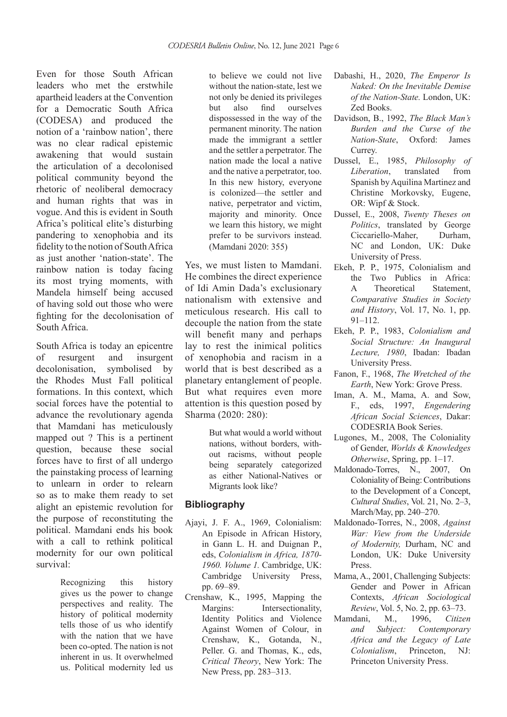Even for those South African leaders who met the erstwhile apartheid leaders at the Convention for a Democratic South Africa (CODESA) and produced the notion of a 'rainbow nation', there was no clear radical epistemic awakening that would sustain the articulation of a decolonised political community beyond the rhetoric of neoliberal democracy and human rights that was in vogue. And this is evident in South Africa's political elite's disturbing pandering to xenophobia and its fidelity to the notion of South Africa as just another 'nation-state'. The rainbow nation is today facing its most trying moments, with Mandela himself being accused of having sold out those who were fighting for the decolonisation of South Africa.

South Africa is today an epicentre of resurgent and insurgent decolonisation, symbolised by the Rhodes Must Fall political formations. In this context, which social forces have the potential to advance the revolutionary agenda that Mamdani has meticulously mapped out ? This is a pertinent question, because these social forces have to first of all undergo the painstaking process of learning to unlearn in order to relearn so as to make them ready to set alight an epistemic revolution for the purpose of reconstituting the political. Mamdani ends his book with a call to rethink political modernity for our own political survival:

> Recognizing this history gives us the power to change perspectives and reality. The history of political modernity tells those of us who identify with the nation that we have been co-opted. The nation is not inherent in us. It overwhelmed us. Political modernity led us

to believe we could not live without the nation-state, lest we not only be denied its privileges but also find ourselves dispossessed in the way of the permanent minority. The nation made the immigrant a settler and the settler a perpetrator. The nation made the local a native and the native a perpetrator, too. In this new history, everyone is colonized—the settler and native, perpetrator and victim, majority and minority. Once we learn this history, we might prefer to be survivors instead. (Mamdani 2020: 355)

Yes, we must listen to Mamdani. He combines the direct experience of Idi Amin Dada's exclusionary nationalism with extensive and meticulous research. His call to decouple the nation from the state will benefit many and perhaps lay to rest the inimical politics of xenophobia and racism in a world that is best described as a planetary entanglement of people. But what requires even more attention is this question posed by Sharma (2020: 280):

> But what would a world without nations, without borders, without racisms, without people being separately categorized as either National-Natives or Migrants look like?

# **Bibliography**

- Ajayi, J. F. A., 1969, Colonialism: An Episode in African History, in Gann L. H. and Duignan P., eds, *Colonialism in Africa, 1870- 1960. Volume 1.* Cambridge, UK: Cambridge University Press, pp. 69–89.
- Crenshaw, K., 1995, Mapping the Margins: Intersectionality, Identity Politics and Violence Against Women of Colour, in Crenshaw, K., Gotanda, N., Peller. G. and Thomas, K., eds, *Critical Theory*, New York: The New Press, pp. 283–313.
- Dabashi, H., 2020, *The Emperor Is Naked: On the Inevitable Demise of the Nation-State.* London, UK: Zed Books.
- Davidson, B., 1992, *The Black Man's Burden and the Curse of the Nation-State*, Oxford: James Currey.
- Dussel, E., 1985, *Philosophy of Liberation*, translated from Spanish by Aquilina Martinez and Christine Morkovsky, Eugene, OR: Wipf & Stock.
- Dussel, E., 2008, *Twenty Theses on Politics*, translated by George Ciccariello-Maher, Durham, NC and London, UK: Duke University of Press.
- Ekeh, P. P., 1975, Colonialism and the Two Publics in Africa: A Theoretical Statement, *Comparative Studies in Society and History*, Vol. 17, No. 1, pp. 91–112.
- Ekeh, P. P., 1983, *Colonialism and Social Structure: An Inaugural Lecture, 1980*, Ibadan: Ibadan University Press.
- Fanon, F., 1968, *The Wretched of the Earth*, New York: Grove Press.
- Iman, A. M., Mama, A. and Sow, F., eds, 1997, *Engendering African Social Sciences*, Dakar: CODESRIA Book Series.
- Lugones, M., 2008, The Coloniality of Gender, *Worlds & Knowledges Otherwise*, Spring, pp. 1–17.
- Maldonado-Torres, N., 2007, On Coloniality of Being: Contributions to the Development of a Concept, *Cultural Studies*, Vol. 21, No. 2–3, March/May, pp. 240–270.
- Maldonado-Torres, N., 2008, *Against War: View from the Underside of Modernity,* Durham, NC and London, UK: Duke University Press.
- Mama, A., 2001, Challenging Subjects: Gender and Power in African Contexts, *African Sociological Review*, Vol. 5, No. 2, pp. 63–73.
- Mamdani, M., 1996, *Citizen and Subject: Contemporary Africa and the Legacy of Late Colonialism*, Princeton, NJ: Princeton University Press.